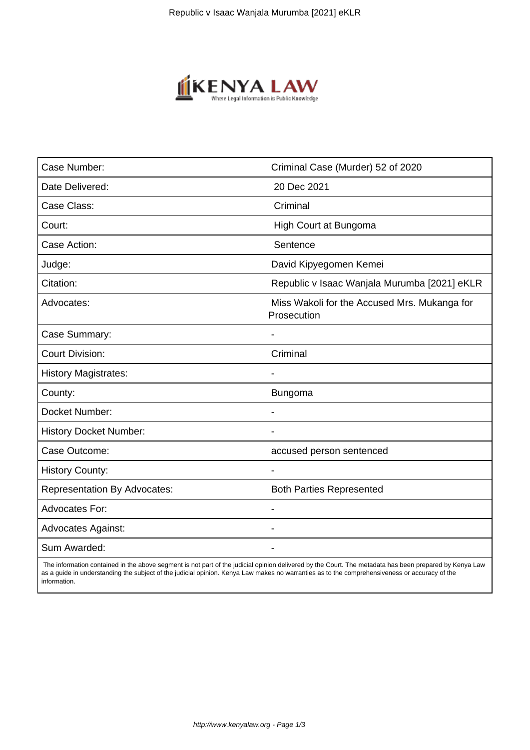

| Case Number:                        | Criminal Case (Murder) 52 of 2020                           |
|-------------------------------------|-------------------------------------------------------------|
| Date Delivered:                     | 20 Dec 2021                                                 |
| Case Class:                         | Criminal                                                    |
| Court:                              | High Court at Bungoma                                       |
| Case Action:                        | Sentence                                                    |
| Judge:                              | David Kipyegomen Kemei                                      |
| Citation:                           | Republic v Isaac Wanjala Murumba [2021] eKLR                |
| Advocates:                          | Miss Wakoli for the Accused Mrs. Mukanga for<br>Prosecution |
| Case Summary:                       |                                                             |
| <b>Court Division:</b>              | Criminal                                                    |
| <b>History Magistrates:</b>         | $\overline{\phantom{a}}$                                    |
| County:                             | Bungoma                                                     |
| Docket Number:                      |                                                             |
| <b>History Docket Number:</b>       |                                                             |
| Case Outcome:                       | accused person sentenced                                    |
| <b>History County:</b>              | $\blacksquare$                                              |
| <b>Representation By Advocates:</b> | <b>Both Parties Represented</b>                             |
| <b>Advocates For:</b>               |                                                             |
| <b>Advocates Against:</b>           |                                                             |
| Sum Awarded:                        |                                                             |

 The information contained in the above segment is not part of the judicial opinion delivered by the Court. The metadata has been prepared by Kenya Law as a guide in understanding the subject of the judicial opinion. Kenya Law makes no warranties as to the comprehensiveness or accuracy of the information.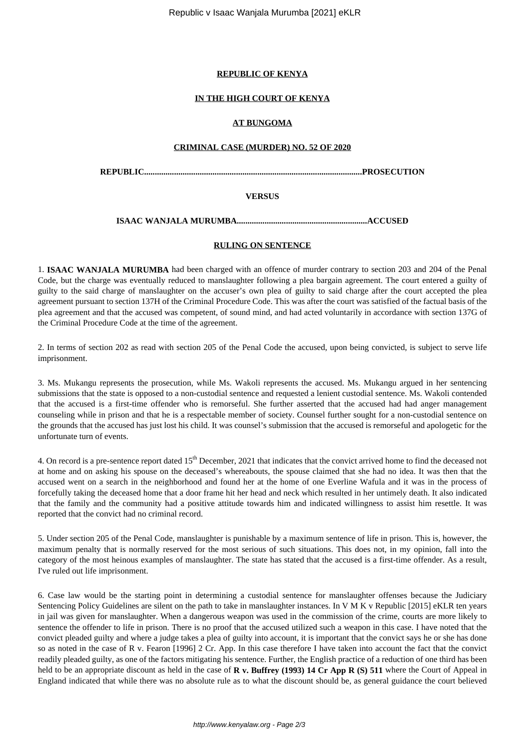#### **REPUBLIC OF KENYA**

## **IN THE HIGH COURT OF KENYA**

## **AT BUNGOMA**

#### **CRIMINAL CASE (MURDER) NO. 52 OF 2020**

**REPUBLIC......................................................................................................PROSECUTION**

## **VERSUS**

#### **ISAAC WANJALA MURUMBA.............................................................ACCUSED**

#### **RULING ON SENTENCE**

1. **ISAAC WANJALA MURUMBA** had been charged with an offence of murder contrary to section 203 and 204 of the Penal Code, but the charge was eventually reduced to manslaughter following a plea bargain agreement. The court entered a guilty of guilty to the said charge of manslaughter on the accuser's own plea of guilty to said charge after the court accepted the plea agreement pursuant to section 137H of the Criminal Procedure Code. This was after the court was satisfied of the factual basis of the plea agreement and that the accused was competent, of sound mind, and had acted voluntarily in accordance with section 137G of the Criminal Procedure Code at the time of the agreement.

2. In terms of section 202 as read with section 205 of the Penal Code the accused, upon being convicted, is subject to serve life imprisonment.

3. Ms. Mukangu represents the prosecution, while Ms. Wakoli represents the accused. Ms. Mukangu argued in her sentencing submissions that the state is opposed to a non-custodial sentence and requested a lenient custodial sentence. Ms. Wakoli contended that the accused is a first-time offender who is remorseful. She further asserted that the accused had had anger management counseling while in prison and that he is a respectable member of society. Counsel further sought for a non-custodial sentence on the grounds that the accused has just lost his child. It was counsel's submission that the accused is remorseful and apologetic for the unfortunate turn of events.

4. On record is a pre-sentence report dated 15<sup>th</sup> December, 2021 that indicates that the convict arrived home to find the deceased not at home and on asking his spouse on the deceased's whereabouts, the spouse claimed that she had no idea. It was then that the accused went on a search in the neighborhood and found her at the home of one Everline Wafula and it was in the process of forcefully taking the deceased home that a door frame hit her head and neck which resulted in her untimely death. It also indicated that the family and the community had a positive attitude towards him and indicated willingness to assist him resettle. It was reported that the convict had no criminal record.

5. Under section 205 of the Penal Code, manslaughter is punishable by a maximum sentence of life in prison. This is, however, the maximum penalty that is normally reserved for the most serious of such situations. This does not, in my opinion, fall into the category of the most heinous examples of manslaughter. The state has stated that the accused is a first-time offender. As a result, I've ruled out life imprisonment.

6. Case law would be the starting point in determining a custodial sentence for manslaughter offenses because the Judiciary Sentencing Policy Guidelines are silent on the path to take in manslaughter instances. In V M K v Republic [2015] eKLR ten years in jail was given for manslaughter. When a dangerous weapon was used in the commission of the crime, courts are more likely to sentence the offender to life in prison. There is no proof that the accused utilized such a weapon in this case. I have noted that the convict pleaded guilty and where a judge takes a plea of guilty into account, it is important that the convict says he or she has done so as noted in the case of R v. Fearon [1996] 2 Cr. App. In this case therefore I have taken into account the fact that the convict readily pleaded guilty, as one of the factors mitigating his sentence. Further, the English practice of a reduction of one third has been held to be an appropriate discount as held in the case of **R v. Buffrey (1993) 14 Cr App R (S) 511** where the Court of Appeal in England indicated that while there was no absolute rule as to what the discount should be, as general guidance the court believed